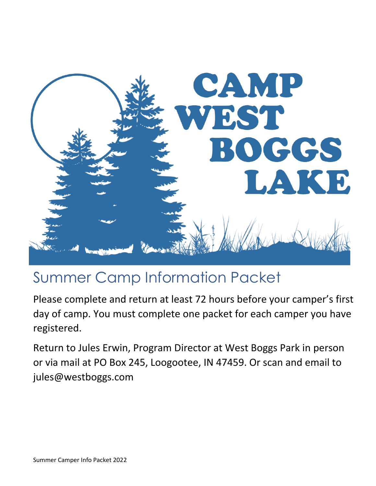

# Summer Camp Information Packet

Please complete and return at least 72 hours before your camper's first day of camp. You must complete one packet for each camper you have registered.

Return to Jules Erwin, Program Director at West Boggs Park in person or via mail at PO Box 245, Loogootee, IN 47459. Or scan and email to jules@westboggs.com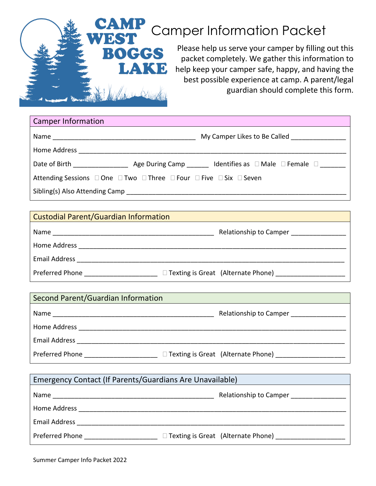

| <b>Camper Information</b>                                                                                                                                                                                                      |                                                                                              |
|--------------------------------------------------------------------------------------------------------------------------------------------------------------------------------------------------------------------------------|----------------------------------------------------------------------------------------------|
|                                                                                                                                                                                                                                | My Camper Likes to Be Called _________________                                               |
| Home Address and the control of the control of the control of the control of the control of the control of the control of the control of the control of the control of the control of the control of the control of the contro |                                                                                              |
|                                                                                                                                                                                                                                | Date of Birth $\qquad \qquad$ Age During Camp Identifies as $\Box$ Male $\Box$ Female $\Box$ |
| Attending Sessions □ One □ Two □ Three □ Four □ Five □ Six □ Seven                                                                                                                                                             |                                                                                              |
|                                                                                                                                                                                                                                |                                                                                              |

| Custodial Parent/Guardian Information |                                           |
|---------------------------------------|-------------------------------------------|
| Name                                  | Relationship to Camper                    |
| Home Address                          |                                           |
| <b>Email Address</b>                  |                                           |
| Preferred Phone                       | $\Box$ Texting is Great (Alternate Phone) |

| Second Parent/Guardian Information |                                           |  |
|------------------------------------|-------------------------------------------|--|
| Name                               | Relationship to Camper                    |  |
| Home Address                       |                                           |  |
| <b>Email Address</b>               |                                           |  |
| Preferred Phone                    | $\Box$ Texting is Great (Alternate Phone) |  |

| Emergency Contact (If Parents/Guardians Are Unavailable) |                                           |  |
|----------------------------------------------------------|-------------------------------------------|--|
| Name                                                     | Relationship to Camper                    |  |
| Home Address                                             |                                           |  |
| <b>Email Address</b>                                     |                                           |  |
| Preferred Phone <b>Example</b>                           | $\Box$ Texting is Great (Alternate Phone) |  |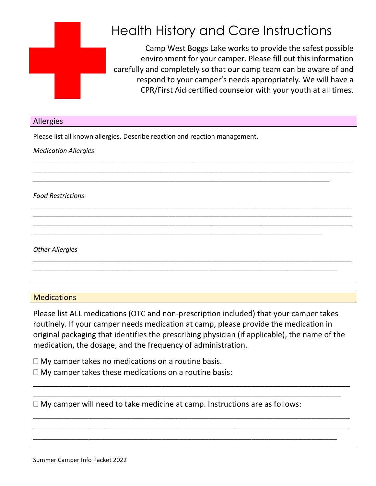

## Health History and Care Instructions

Camp West Boggs Lake works to provide the safest possible environment for your camper. Please fill out this information carefully and completely so that our camp team can be aware of and respond to your camper's needs appropriately. We will have a CPR/First Aid certified counselor with your youth at all times.

| Allergies                                                                   |  |  |
|-----------------------------------------------------------------------------|--|--|
| Please list all known allergies. Describe reaction and reaction management. |  |  |
| <b>Medication Allergies</b>                                                 |  |  |
|                                                                             |  |  |
|                                                                             |  |  |
| <b>Food Restrictions</b>                                                    |  |  |
|                                                                             |  |  |
|                                                                             |  |  |
| <b>Other Allergies</b>                                                      |  |  |
|                                                                             |  |  |
|                                                                             |  |  |

### **Medications**

Please list ALL medications (OTC and non-prescription included) that your camper takes routinely. If your camper needs medication at camp, please provide the medication in original packaging that identifies the prescribing physician (if applicable), the name of the medication, the dosage, and the frequency of administration.

\_\_\_\_\_\_\_\_\_\_\_\_\_\_\_\_\_\_\_\_\_\_\_\_\_\_\_\_\_\_\_\_\_\_\_\_\_\_\_\_\_\_\_\_\_\_\_\_\_\_\_\_\_\_\_\_\_\_\_\_\_\_\_\_\_\_\_\_\_\_\_\_\_\_ \_\_\_\_\_\_\_\_\_\_\_\_\_\_\_\_\_\_\_\_\_\_\_\_\_\_\_\_\_\_\_\_\_\_\_\_\_\_\_\_\_\_\_\_\_\_\_\_\_\_\_\_\_\_\_\_\_\_\_\_\_\_\_\_\_\_\_\_\_\_\_\_

\_\_\_\_\_\_\_\_\_\_\_\_\_\_\_\_\_\_\_\_\_\_\_\_\_\_\_\_\_\_\_\_\_\_\_\_\_\_\_\_\_\_\_\_\_\_\_\_\_\_\_\_\_\_\_\_\_\_\_\_\_\_\_\_\_\_\_\_\_\_\_\_\_\_ \_\_\_\_\_\_\_\_\_\_\_\_\_\_\_\_\_\_\_\_\_\_\_\_\_\_\_\_\_\_\_\_\_\_\_\_\_\_\_\_\_\_\_\_\_\_\_\_\_\_\_\_\_\_\_\_\_\_\_\_\_\_\_\_\_\_\_\_\_\_\_\_\_\_ \_\_\_\_\_\_\_\_\_\_\_\_\_\_\_\_\_\_\_\_\_\_\_\_\_\_\_\_\_\_\_\_\_\_\_\_\_\_\_\_\_\_\_\_\_\_\_\_\_\_\_\_\_\_\_\_\_\_\_\_\_\_\_\_\_\_\_\_\_\_\_

 $\Box$  My camper takes no medications on a routine basis.

 $\Box$  My camper takes these medications on a routine basis:

 $\Box$  My camper will need to take medicine at camp. Instructions are as follows: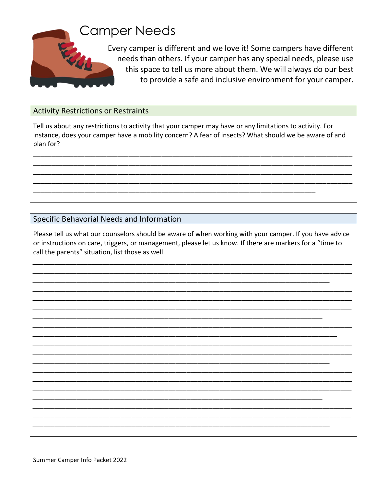

## **Camper Needs**

Every camper is different and we love it! Some campers have different needs than others. If your camper has any special needs, please use this space to tell us more about them. We will always do our best to provide a safe and inclusive environment for your camper.

### **Activity Restrictions or Restraints**

Tell us about any restrictions to activity that your camper may have or any limitations to activity. For instance, does your camper have a mobility concern? A fear of insects? What should we be aware of and plan for?

## Specific Behavorial Needs and Information

Please tell us what our counselors should be aware of when working with your camper. If you have advice or instructions on care, triggers, or management, please let us know. If there are markers for a "time to call the parents" situation, list those as well.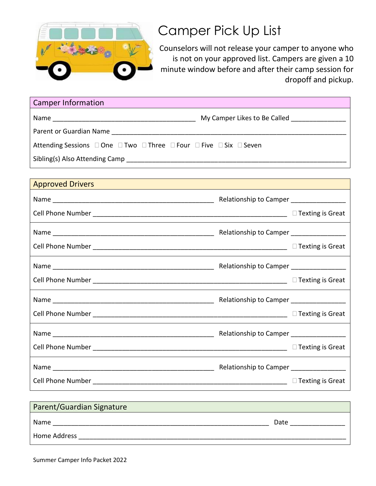

## Camper Pick Up List

Counselors will not release your camper to anyone who is not on your approved list. Campers are given a 10 minute window before and after their camp session for dropoff and pickup.

| <b>Camper Information</b>                                                                                                                                                                                                      |                              |
|--------------------------------------------------------------------------------------------------------------------------------------------------------------------------------------------------------------------------------|------------------------------|
|                                                                                                                                                                                                                                | My Camper Likes to Be Called |
| Parent or Guardian Name and the control of the control of the control of the control of the control of the control of the control of the control of the control of the control of the control of the control of the control of |                              |
| Attending Sessions $\Box$ One $\Box$ Two $\Box$ Three $\Box$ Four $\Box$ Five $\Box$ Six $\Box$ Seven                                                                                                                          |                              |
|                                                                                                                                                                                                                                |                              |

## **Approved Drivers**

| Relationship to Camper ________________ |
|-----------------------------------------|
|                                         |
|                                         |
|                                         |
|                                         |
|                                         |
|                                         |
|                                         |
|                                         |
|                                         |
|                                         |
|                                         |

| Parent/Guardian Signature |      |
|---------------------------|------|
| Name                      | Date |
| Home Address              |      |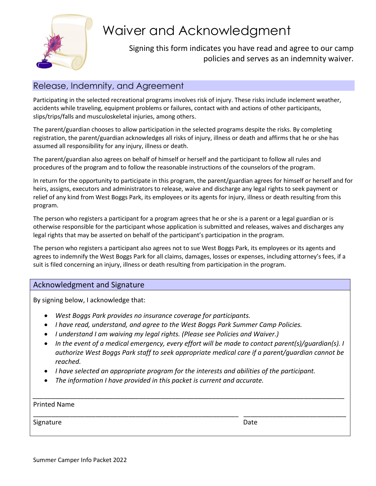

## Waiver and Acknowledgment

## Signing this form indicates you have read and agree to our camp policies and serves as an indemnity waiver.

## Release, Indemnity, and Agreement

Participating in the selected recreational programs involves risk of injury. These risks include inclement weather, accidents while traveling, equipment problems or failures, contact with and actions of other participants, slips/trips/falls and musculoskeletal injuries, among others.

The parent/guardian chooses to allow participation in the selected programs despite the risks. By completing registration, the parent/guardian acknowledges all risks of injury, illness or death and affirms that he or she has assumed all responsibility for any injury, illness or death.

The parent/guardian also agrees on behalf of himself or herself and the participant to follow all rules and procedures of the program and to follow the reasonable instructions of the counselors of the program.

In return for the opportunity to participate in this program, the parent/guardian agrees for himself or herself and for heirs, assigns, executors and administrators to release, waive and discharge any legal rights to seek payment or relief of any kind from West Boggs Park, its employees or its agents for injury, illness or death resulting from this program.

The person who registers a participant for a program agrees that he or she is a parent or a legal guardian or is otherwise responsible for the participant whose application is submitted and releases, waives and discharges any legal rights that may be asserted on behalf of the participant's participation in the program.

The person who registers a participant also agrees not to sue West Boggs Park, its employees or its agents and agrees to indemnify the West Boggs Park for all claims, damages, losses or expenses, including attorney's fees, if a suit is filed concerning an injury, illness or death resulting from participation in the program.

#### Acknowledgment and Signature

By signing below, I acknowledge that:

- *West Boggs Park provides no insurance coverage for participants.*
- *I have read, understand, and agree to the West Boggs Park Summer Camp Policies.*
- *I understand I am waiving my legal rights. (Please see Policies and Waiver.)*
- *In the event of a medical emergency, every effort will be made to contact parent(s)/guardian(s). I authorize West Boggs Park staff to seek appropriate medical care if a parent/guardian cannot be reached.*
- *I have selected an appropriate program for the interests and abilities of the participant.*

*\_\_\_\_\_\_\_\_\_\_\_\_\_\_\_\_\_\_\_\_\_\_\_\_\_\_\_\_\_\_\_\_\_\_\_\_\_\_\_\_\_\_\_\_\_\_\_\_\_\_\_\_\_\_\_\_\_\_\_\_\_\_\_\_\_\_\_\_\_\_\_\_\_\_\_\_\_\_\_\_\_\_\_\_\_*

\_\_\_\_\_\_\_\_\_\_\_\_\_\_\_\_\_\_\_\_\_\_\_\_\_\_\_\_\_\_\_\_\_\_\_\_\_\_\_\_\_\_\_\_\_\_\_\_\_\_\_\_\_\_\_\_ \_\_\_\_\_\_\_\_\_\_\_\_\_\_\_\_\_\_\_\_\_\_\_\_\_\_\_\_

• *The information I have provided in this packet is current and accurate.*

Printed Name

Signature Date Date of the Date of the Date of the Date Date of the Date of the Date of the Date of the Date o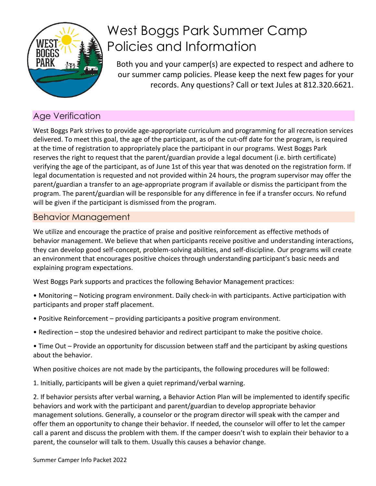

## West Boggs Park Summer Camp Policies and Information

Both you and your camper(s) are expected to respect and adhere to our summer camp policies. Please keep the next few pages for your records. Any questions? Call or text Jules at 812.320.6621.

## Age Verification

West Boggs Park strives to provide age-appropriate curriculum and programming for all recreation services delivered. To meet this goal, the age of the participant, as of the cut-off date for the program, is required at the time of registration to appropriately place the participant in our programs. West Boggs Park reserves the right to request that the parent/guardian provide a legal document (i.e. birth certificate) verifying the age of the participant, as of June 1st of this year that was denoted on the registration form. If legal documentation is requested and not provided within 24 hours, the program supervisor may offer the parent/guardian a transfer to an age-appropriate program if available or dismiss the participant from the program. The parent/guardian will be responsible for any difference in fee if a transfer occurs. No refund will be given if the participant is dismissed from the program.

## Behavior Management

We utilize and encourage the practice of praise and positive reinforcement as effective methods of behavior management. We believe that when participants receive positive and understanding interactions, they can develop good self-concept, problem-solving abilities, and self-discipline. Our programs will create an environment that encourages positive choices through understanding participant's basic needs and explaining program expectations.

West Boggs Park supports and practices the following Behavior Management practices:

- Monitoring Noticing program environment. Daily check-in with participants. Active participation with participants and proper staff placement.
- Positive Reinforcement providing participants a positive program environment.
- Redirection stop the undesired behavior and redirect participant to make the positive choice.
- Time Out Provide an opportunity for discussion between staff and the participant by asking questions about the behavior.

When positive choices are not made by the participants, the following procedures will be followed:

1. Initially, participants will be given a quiet reprimand/verbal warning.

2. If behavior persists after verbal warning, a Behavior Action Plan will be implemented to identify specific behaviors and work with the participant and parent/guardian to develop appropriate behavior management solutions. Generally, a counselor or the program director will speak with the camper and offer them an opportunity to change their behavior. If needed, the counselor will offer to let the camper call a parent and discuss the problem with them. If the camper doesn't wish to explain their behavior to a parent, the counselor will talk to them. Usually this causes a behavior change.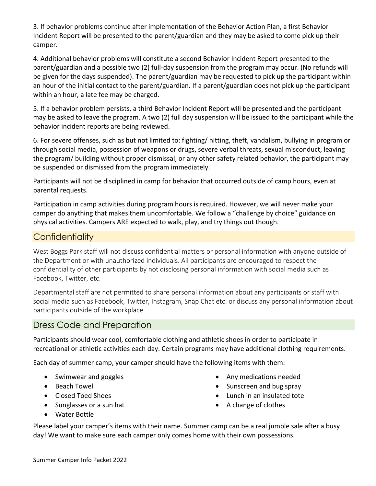3. If behavior problems continue after implementation of the Behavior Action Plan, a first Behavior Incident Report will be presented to the parent/guardian and they may be asked to come pick up their camper.

4. Additional behavior problems will constitute a second Behavior Incident Report presented to the parent/guardian and a possible two (2) full-day suspension from the program may occur. (No refunds will be given for the days suspended). The parent/guardian may be requested to pick up the participant within an hour of the initial contact to the parent/guardian. If a parent/guardian does not pick up the participant within an hour, a late fee may be charged.

5. If a behavior problem persists, a third Behavior Incident Report will be presented and the participant may be asked to leave the program. A two (2) full day suspension will be issued to the participant while the behavior incident reports are being reviewed.

6. For severe offenses, such as but not limited to: fighting/ hitting, theft, vandalism, bullying in program or through social media, possession of weapons or drugs, severe verbal threats, sexual misconduct, leaving the program/ building without proper dismissal, or any other safety related behavior, the participant may be suspended or dismissed from the program immediately.

Participants will not be disciplined in camp for behavior that occurred outside of camp hours, even at parental requests.

Participation in camp activities during program hours is required. However, we will never make your camper do anything that makes them uncomfortable. We follow a "challenge by choice" guidance on physical activities. Campers ARE expected to walk, play, and try things out though.

## **Confidentiality**

West Boggs Park staff will not discuss confidential matters or personal information with anyone outside of the Department or with unauthorized individuals. All participants are encouraged to respect the confidentiality of other participants by not disclosing personal information with social media such as Facebook, Twitter, etc.

Departmental staff are not permitted to share personal information about any participants or staff with social media such as Facebook, Twitter, Instagram, Snap Chat etc. or discuss any personal information about participants outside of the workplace.

## Dress Code and Preparation

Participants should wear cool, comfortable clothing and athletic shoes in order to participate in recreational or athletic activities each day. Certain programs may have additional clothing requirements.

Each day of summer camp, your camper should have the following items with them:

- Swimwear and goggles
- Beach Towel
- Closed Toed Shoes
- Sunglasses or a sun hat
- Any medications needed • Sunscreen and bug spray
- Lunch in an insulated tote
- A change of clothes

• Water Bottle

Please label your camper's items with their name. Summer camp can be a real jumble sale after a busy day! We want to make sure each camper only comes home with their own possessions.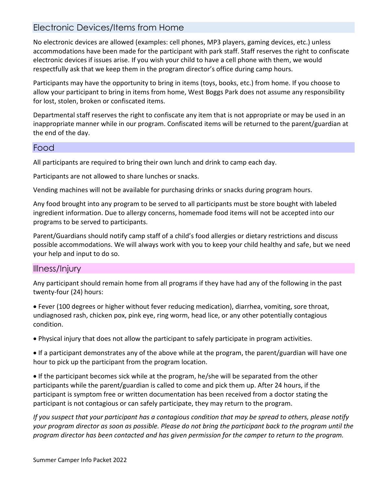## Electronic Devices/Items from Home

No electronic devices are allowed (examples: cell phones, MP3 players, gaming devices, etc.) unless accommodations have been made for the participant with park staff. Staff reserves the right to confiscate electronic devices if issues arise. If you wish your child to have a cell phone with them, we would respectfully ask that we keep them in the program director's office during camp hours.

Participants may have the opportunity to bring in items (toys, books, etc.) from home. If you choose to allow your participant to bring in items from home, West Boggs Park does not assume any responsibility for lost, stolen, broken or confiscated items.

Departmental staff reserves the right to confiscate any item that is not appropriate or may be used in an inappropriate manner while in our program. Confiscated items will be returned to the parent/guardian at the end of the day.

### Food

All participants are required to bring their own lunch and drink to camp each day.

Participants are not allowed to share lunches or snacks.

Vending machines will not be available for purchasing drinks or snacks during program hours.

Any food brought into any program to be served to all participants must be store bought with labeled ingredient information. Due to allergy concerns, homemade food items will not be accepted into our programs to be served to participants.

Parent/Guardians should notify camp staff of a child's food allergies or dietary restrictions and discuss possible accommodations. We will always work with you to keep your child healthy and safe, but we need your help and input to do so.

### Illness/Injury

Any participant should remain home from all programs if they have had any of the following in the past twenty-four (24) hours:

• Fever (100 degrees or higher without fever reducing medication), diarrhea, vomiting, sore throat, undiagnosed rash, chicken pox, pink eye, ring worm, head lice, or any other potentially contagious condition.

• Physical injury that does not allow the participant to safely participate in program activities.

• If a participant demonstrates any of the above while at the program, the parent/guardian will have one hour to pick up the participant from the program location.

• If the participant becomes sick while at the program, he/she will be separated from the other participants while the parent/guardian is called to come and pick them up. After 24 hours, if the participant is symptom free or written documentation has been received from a doctor stating the participant is not contagious or can safely participate, they may return to the program.

*If you suspect that your participant has a contagious condition that may be spread to others, please notify your program director as soon as possible. Please do not bring the participant back to the program until the program director has been contacted and has given permission for the camper to return to the program.*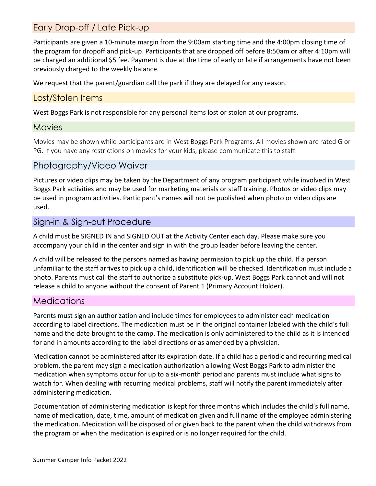## Early Drop-off / Late Pick-up

Participants are given a 10-minute margin from the 9:00am starting time and the 4:00pm closing time of the program for dropoff and pick-up. Participants that are dropped off before 8:50am or after 4:10pm will be charged an additional \$5 fee. Payment is due at the time of early or late if arrangements have not been previously charged to the weekly balance.

We request that the parent/guardian call the park if they are delayed for any reason.

### Lost/Stolen Items

West Boggs Park is not responsible for any personal items lost or stolen at our programs.

#### Movies

Movies may be shown while participants are in West Boggs Park Programs. All movies shown are rated G or PG. If you have any restrictions on movies for your kids, please communicate this to staff.

### Photography/Video Waiver

Pictures or video clips may be taken by the Department of any program participant while involved in West Boggs Park activities and may be used for marketing materials or staff training. Photos or video clips may be used in program activities. Participant's names will not be published when photo or video clips are used.

## Sign-in & Sign-out Procedure

A child must be SIGNED IN and SIGNED OUT at the Activity Center each day. Please make sure you accompany your child in the center and sign in with the group leader before leaving the center.

A child will be released to the persons named as having permission to pick up the child. If a person unfamiliar to the staff arrives to pick up a child, identification will be checked. Identification must include a photo. Parents must call the staff to authorize a substitute pick-up. West Boggs Park cannot and will not release a child to anyone without the consent of Parent 1 (Primary Account Holder).

### **Medications**

Parents must sign an authorization and include times for employees to administer each medication according to label directions. The medication must be in the original container labeled with the child's full name and the date brought to the camp. The medication is only administered to the child as it is intended for and in amounts according to the label directions or as amended by a physician.

Medication cannot be administered after its expiration date. If a child has a periodic and recurring medical problem, the parent may sign a medication authorization allowing West Boggs Park to administer the medication when symptoms occur for up to a six-month period and parents must include what signs to watch for. When dealing with recurring medical problems, staff will notify the parent immediately after administering medication.

Documentation of administering medication is kept for three months which includes the child's full name, name of medication, date, time, amount of medication given and full name of the employee administering the medication. Medication will be disposed of or given back to the parent when the child withdraws from the program or when the medication is expired or is no longer required for the child.